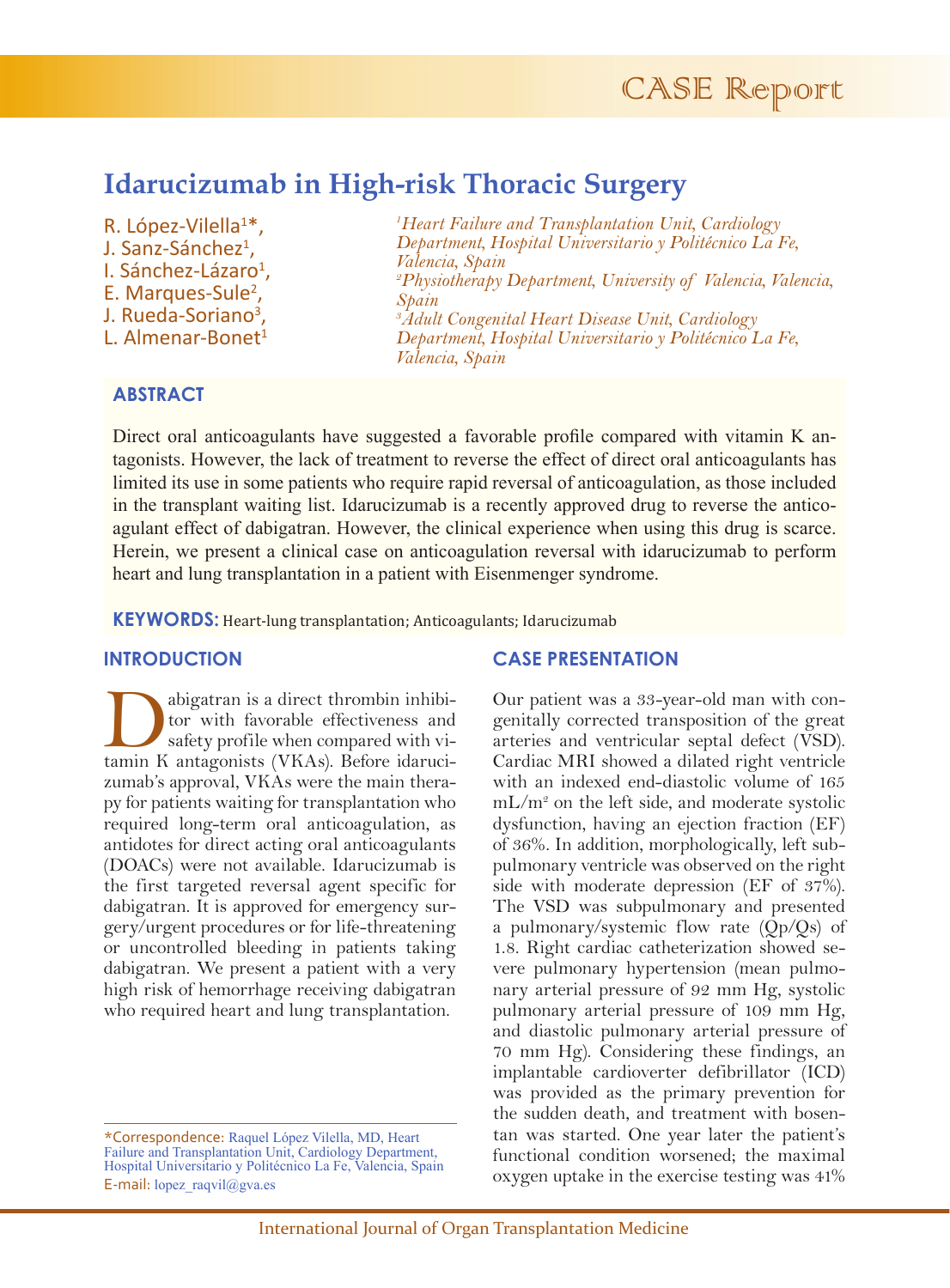# **Idarucizumab in High-risk Thoracic Surgery**

R. López-Vilella<sup>1\*</sup>, J. Sanz-Sánchez<sup>1</sup>, I. Sánchez-Lázaro<sup>1</sup>, E. Marques-Sule<sup>2</sup>, J. Rueda-Soriano<sup>3</sup>, L. Almenar-Bonet<sup>1</sup>

*1 Heart Failure and Transplantation Unit, Cardiology Department, Hospital Universitario y Politécnico La Fe, Valencia, Spain 2 Physiotherapy Department, University of Valencia, Valencia, Spain 3 Adult Congenital Heart Disease Unit, Cardiology Department, Hospital Universitario y Politécnico La Fe, Valencia, Spain*

## **ABSTRACT**

Direct oral anticoagulants have suggested a favorable profile compared with vitamin K antagonists. However, the lack of treatment to reverse the effect of direct oral anticoagulants has limited its use in some patients who require rapid reversal of anticoagulation, as those included in the transplant waiting list. Idarucizumab is a recently approved drug to reverse the anticoagulant effect of dabigatran. However, the clinical experience when using this drug is scarce. Herein, we present a clinical case on anticoagulation reversal with idarucizumab to perform heart and lung transplantation in a patient with Eisenmenger syndrome.

**KEYWORDS:** Heart-lung transplantation; Anticoagulants; Idarucizumab

#### **INTRODUCTION**

abigatran is a direct thrombin inhibitor with favorable effectiveness and safety profile when compared with vitamin K antagonists (VKAs) Before idarucitor with favorable effectiveness and safety profile when compared with vitamin K antagonists (VKAs). Before idarucizumab's approval, VKAs were the main therapy for patients waiting for transplantation who required long-term oral anticoagulation, as antidotes for direct acting oral anticoagulants (DOACs) were not available. Idarucizumab is the first targeted reversal agent specific for dabigatran. It is approved for emergency surgery/urgent procedures or for life-threatening or uncontrolled bleeding in patients taking dabigatran. We present a patient with a very high risk of hemorrhage receiving dabigatran who required heart and lung transplantation.

### **CASE PRESENTATION**

Our patient was a 33-year-old man with congenitally corrected transposition of the great arteries and ventricular septal defect (VSD). Cardiac MRI showed a dilated right ventricle with an indexed end-diastolic volume of 165 mL/m2 on the left side, and moderate systolic dysfunction, having an ejection fraction (EF) of 36%. In addition, morphologically, left subpulmonary ventricle was observed on the right side with moderate depression (EF of 37%). The VSD was subpulmonary and presented a pulmonary/systemic flow rate (Qp/Qs) of 1.8. Right cardiac catheterization showed severe pulmonary hypertension (mean pulmonary arterial pressure of 92 mm Hg, systolic pulmonary arterial pressure of 109 mm Hg, and diastolic pulmonary arterial pressure of 70 mm Hg). Considering these findings, an implantable cardioverter defibrillator (ICD) was provided as the primary prevention for the sudden death, and treatment with bosentan was started. One year later the patient's functional condition worsened; the maximal oxygen uptake in the exercise testing was 41%

<sup>\*</sup>Correspondence: Raquel López Vilella, MD, Heart Failure and Transplantation Unit, Cardiology Department, Hospital Universitario y Politécnico La Fe, Valencia, Spain E-mail: lopez\_raqvil@gva.es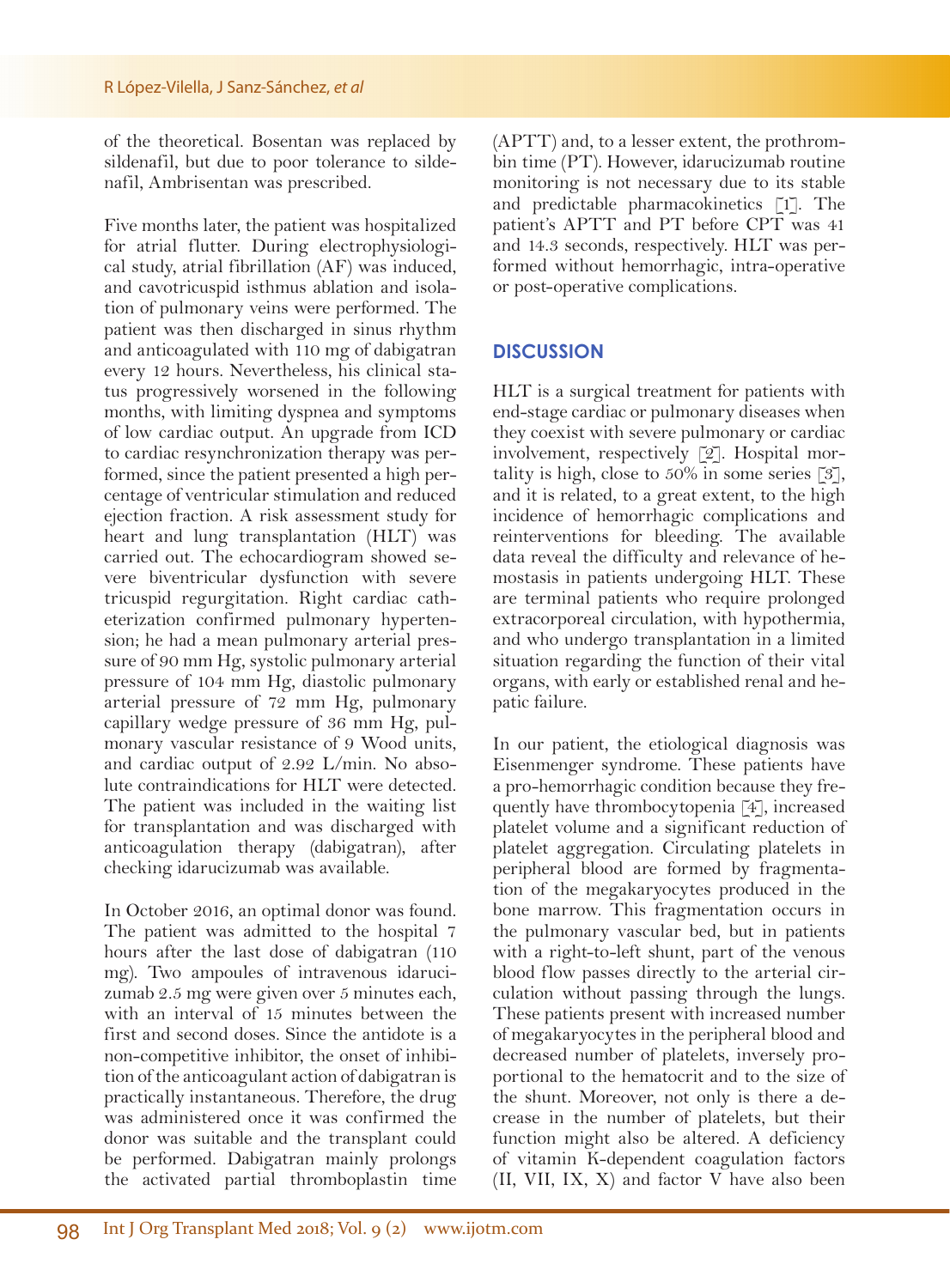of the theoretical. Bosentan was replaced by sildenafil, but due to poor tolerance to sildenafil, Ambrisentan was prescribed.

Five months later, the patient was hospitalized for atrial flutter. During electrophysiological study, atrial fibrillation (AF) was induced, and cavotricuspid isthmus ablation and isolation of pulmonary veins were performed. The patient was then discharged in sinus rhythm and anticoagulated with 110 mg of dabigatran every 12 hours. Nevertheless, his clinical status progressively worsened in the following months, with limiting dyspnea and symptoms of low cardiac output. An upgrade from ICD to cardiac resynchronization therapy was performed, since the patient presented a high percentage of ventricular stimulation and reduced ejection fraction. A risk assessment study for heart and lung transplantation (HLT) was carried out. The echocardiogram showed severe biventricular dysfunction with severe tricuspid regurgitation. Right cardiac catheterization confirmed pulmonary hypertension; he had a mean pulmonary arterial pressure of 90 mm Hg, systolic pulmonary arterial pressure of 104 mm Hg, diastolic pulmonary arterial pressure of 72 mm Hg, pulmonary capillary wedge pressure of 36 mm Hg, pulmonary vascular resistance of 9 Wood units, and cardiac output of 2.92 L/min. No absolute contraindications for HLT were detected. The patient was included in the waiting list for transplantation and was discharged with anticoagulation therapy (dabigatran), after checking idarucizumab was available.

In October 2016, an optimal donor was found. The patient was admitted to the hospital 7 hours after the last dose of dabigatran (110 mg). Two ampoules of intravenous idarucizumab 2.5 mg were given over 5 minutes each, with an interval of 15 minutes between the first and second doses. Since the antidote is a non-competitive inhibitor, the onset of inhibition of the anticoagulant action of dabigatran is practically instantaneous. Therefore, the drug was administered once it was confirmed the donor was suitable and the transplant could be performed. Dabigatran mainly prolongs the activated partial thromboplastin time (APTT) and, to a lesser extent, the prothrombin time (PT). However, idarucizumab routine monitoring is not necessary due to its stable and predictable pharmacokinetics [1]. The patient's APTT and PT before CPT was 41 and 14.3 seconds, respectively. HLT was performed without hemorrhagic, intra-operative or post-operative complications.

## **DISCUSSION**

HLT is a surgical treatment for patients with end-stage cardiac or pulmonary diseases when they coexist with severe pulmonary or cardiac involvement, respectively [2]. Hospital mortality is high, close to  $50\%$  in some series [3], and it is related, to a great extent, to the high incidence of hemorrhagic complications and reinterventions for bleeding. The available data reveal the difficulty and relevance of hemostasis in patients undergoing HLT. These are terminal patients who require prolonged extracorporeal circulation, with hypothermia, and who undergo transplantation in a limited situation regarding the function of their vital organs, with early or established renal and hepatic failure.

In our patient, the etiological diagnosis was Eisenmenger syndrome. These patients have a pro-hemorrhagic condition because they frequently have thrombocytopenia [4], increased platelet volume and a significant reduction of platelet aggregation. Circulating platelets in peripheral blood are formed by fragmentation of the megakaryocytes produced in the bone marrow. This fragmentation occurs in the pulmonary vascular bed, but in patients with a right-to-left shunt, part of the venous blood flow passes directly to the arterial circulation without passing through the lungs. These patients present with increased number of megakaryocytes in the peripheral blood and decreased number of platelets, inversely proportional to the hematocrit and to the size of the shunt. Moreover, not only is there a decrease in the number of platelets, but their function might also be altered. A deficiency of vitamin K-dependent coagulation factors (II, VII, IX, X) and factor V have also been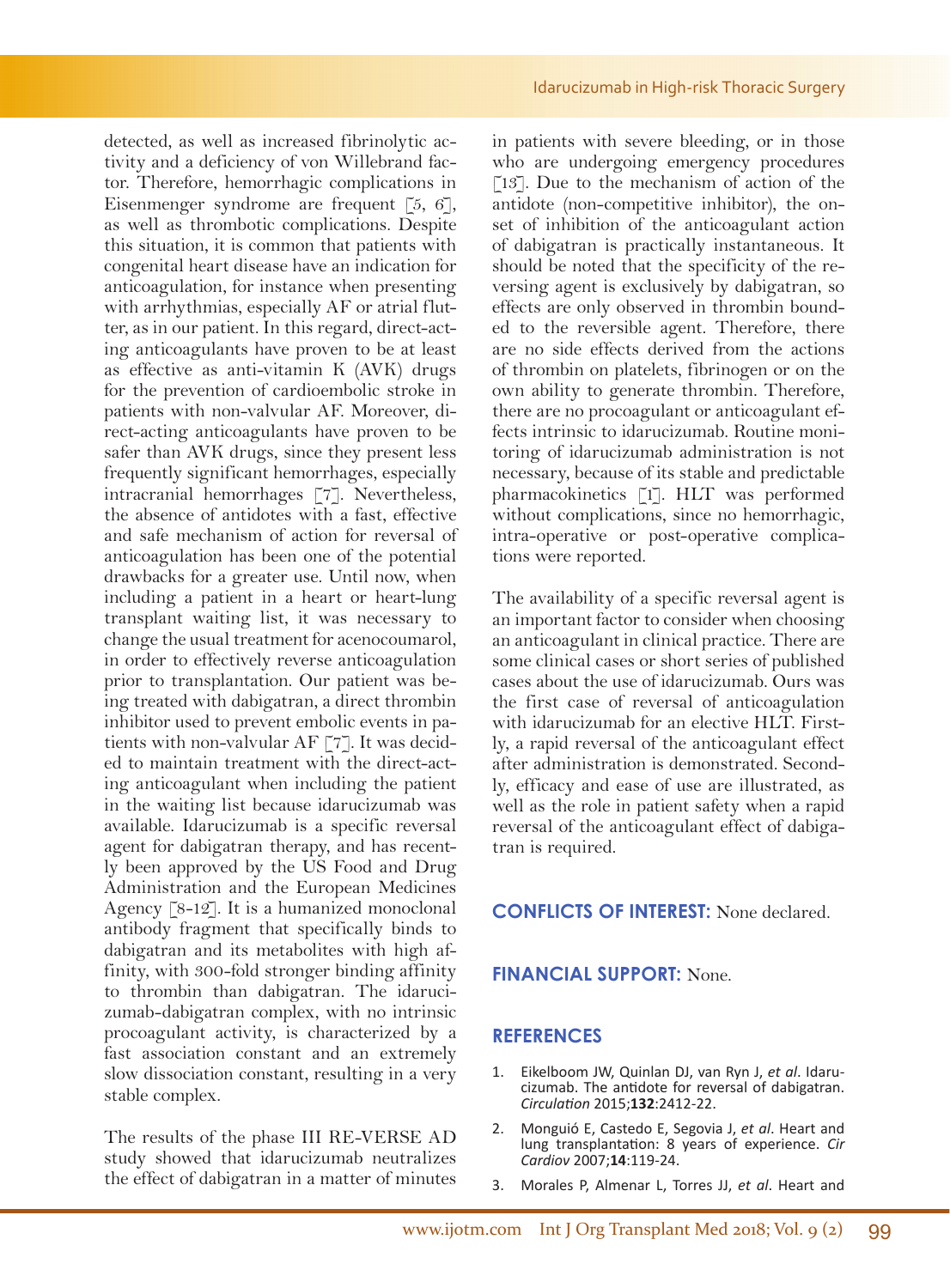detected, as well as increased fibrinolytic activity and a deficiency of von Willebrand factor. Therefore, hemorrhagic complications in Eisenmenger syndrome are frequent  $\lceil 5, 6 \rceil$ , as well as thrombotic complications. Despite this situation, it is common that patients with congenital heart disease have an indication for anticoagulation, for instance when presenting with arrhythmias, especially AF or atrial flutter, as in our patient. In this regard, direct-acting anticoagulants have proven to be at least as effective as anti-vitamin K (AVK) drugs for the prevention of cardioembolic stroke in patients with non-valvular AF. Moreover, direct-acting anticoagulants have proven to be safer than AVK drugs, since they present less frequently significant hemorrhages, especially intracranial hemorrhages [7]. Nevertheless, the absence of antidotes with a fast, effective and safe mechanism of action for reversal of anticoagulation has been one of the potential drawbacks for a greater use. Until now, when including a patient in a heart or heart-lung transplant waiting list, it was necessary to change the usual treatment for acenocoumarol, in order to effectively reverse anticoagulation prior to transplantation. Our patient was being treated with dabigatran, a direct thrombin inhibitor used to prevent embolic events in patients with non-valvular AF [7]. It was decided to maintain treatment with the direct-acting anticoagulant when including the patient in the waiting list because idarucizumab was available. Idarucizumab is a specific reversal agent for dabigatran therapy, and has recently been approved by the US Food and Drug Administration and the European Medicines Agency [8-12]. It is a humanized monoclonal antibody fragment that specifically binds to dabigatran and its metabolites with high affinity, with 300-fold stronger binding affinity to thrombin than dabigatran. The idarucizumab-dabigatran complex, with no intrinsic procoagulant activity, is characterized by a fast association constant and an extremely slow dissociation constant, resulting in a very stable complex.

The results of the phase III RE-VERSE AD study showed that idarucizumab neutralizes the effect of dabigatran in a matter of minutes

in patients with severe bleeding, or in those who are undergoing emergency procedures [13]. Due to the mechanism of action of the antidote (non-competitive inhibitor), the onset of inhibition of the anticoagulant action of dabigatran is practically instantaneous. It should be noted that the specificity of the reversing agent is exclusively by dabigatran, so effects are only observed in thrombin bounded to the reversible agent. Therefore, there are no side effects derived from the actions of thrombin on platelets, fibrinogen or on the own ability to generate thrombin. Therefore, there are no procoagulant or anticoagulant effects intrinsic to idarucizumab. Routine monitoring of idarucizumab administration is not necessary, because of its stable and predictable pharmacokinetics [1]. HLT was performed without complications, since no hemorrhagic, intra-operative or post-operative complications were reported.

The availability of a specific reversal agent is an important factor to consider when choosing an anticoagulant in clinical practice. There are some clinical cases or short series of published cases about the use of idarucizumab. Ours was the first case of reversal of anticoagulation with idarucizumab for an elective HLT. Firstly, a rapid reversal of the anticoagulant effect after administration is demonstrated. Secondly, efficacy and ease of use are illustrated, as well as the role in patient safety when a rapid reversal of the anticoagulant effect of dabigatran is required.

#### **CONFLICTS OF INTEREST:** None declared.

## **FINANCIAL SUPPORT:** None.

#### **REFERENCES**

- 1. Eikelboom JW, Quinlan DJ, van Ryn J, *et al*. Idaru- cizumab. The antidote for reversal of dabigatran. *Circulation* 2015;**132**:2412-22.
- 2. Monguió E, Castedo E, Segovia J, *et al*. Heart and lung transplantation: 8 years of experience. *Cir Cardiov* 2007;**14**:119-24.
- 3. Morales P, Almenar L, Torres JJ, *et al*. Heart and